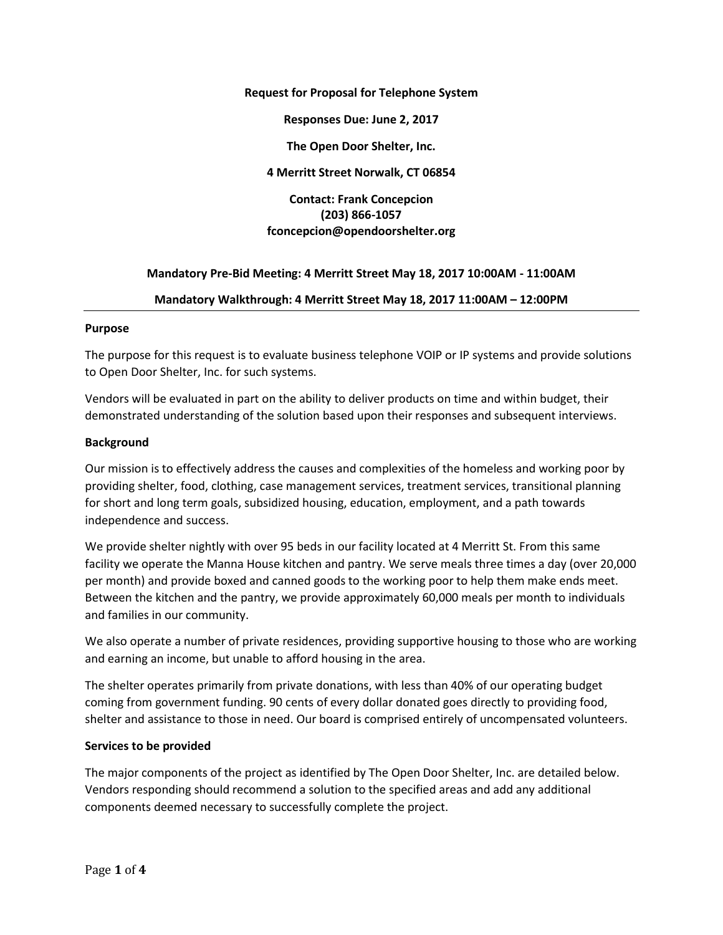#### **Request for Proposal for Telephone System**

**Responses Due: June 2, 2017**

**The Open Door Shelter, Inc.**

**4 Merritt Street Norwalk, CT 06854**

**Contact: Frank Concepcion (203) 866-1057 fconcepcion@opendoorshelter.org**

### **Mandatory Pre-Bid Meeting: 4 Merritt Street May 18, 2017 10:00AM - 11:00AM**

#### **Mandatory Walkthrough: 4 Merritt Street May 18, 2017 11:00AM – 12:00PM**

### **Purpose**

The purpose for this request is to evaluate business telephone VOIP or IP systems and provide solutions to Open Door Shelter, Inc. for such systems.

Vendors will be evaluated in part on the ability to deliver products on time and within budget, their demonstrated understanding of the solution based upon their responses and subsequent interviews.

### **Background**

Our mission is to effectively address the causes and complexities of the homeless and working poor by providing shelter, food, clothing, case management services, treatment services, transitional planning for short and long term goals, subsidized housing, education, employment, and a path towards independence and success.

We provide shelter nightly with over 95 beds in our facility located at 4 Merritt St. From this same facility we operate the Manna House kitchen and pantry. We serve meals three times a day (over 20,000 per month) and provide boxed and canned goods to the working poor to help them make ends meet. Between the kitchen and the pantry, we provide approximately 60,000 meals per month to individuals and families in our community.

We also operate a number of private residences, providing supportive housing to those who are working and earning an income, but unable to afford housing in the area.

The shelter operates primarily from private donations, with less than 40% of our operating budget coming from government funding. 90 cents of every dollar donated goes directly to providing food, shelter and assistance to those in need. Our board is comprised entirely of uncompensated volunteers.

#### **Services to be provided**

The major components of the project as identified by The Open Door Shelter, Inc. are detailed below. Vendors responding should recommend a solution to the specified areas and add any additional components deemed necessary to successfully complete the project.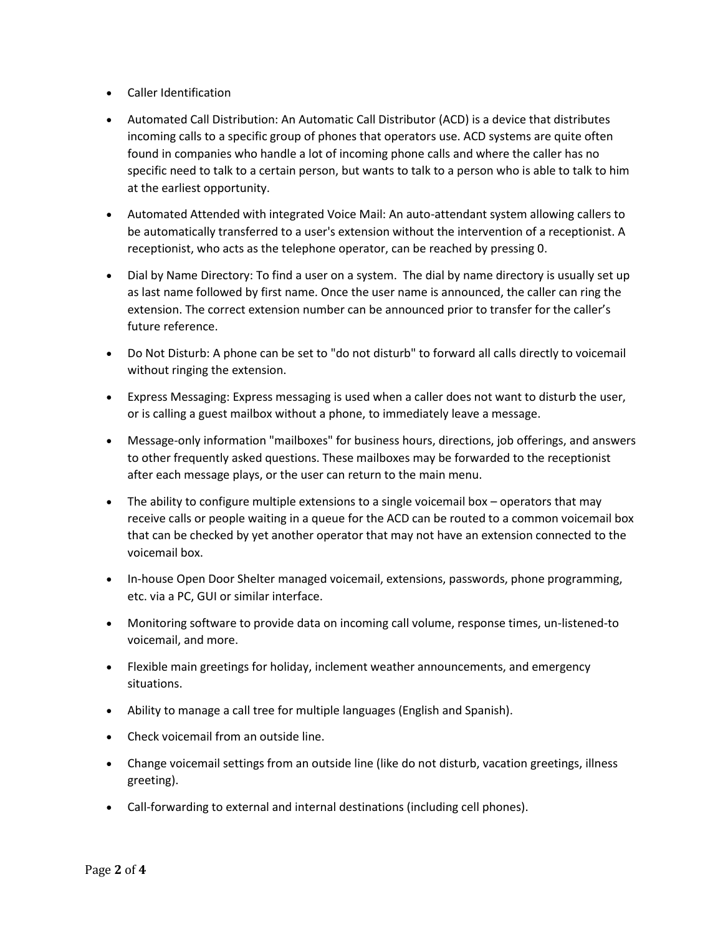- Caller Identification
- Automated Call Distribution: An Automatic Call Distributor (ACD) is a device that distributes incoming calls to a specific group of phones that operators use. ACD systems are quite often found in companies who handle a lot of incoming phone calls and where the caller has no specific need to talk to a certain person, but wants to talk to a person who is able to talk to him at the earliest opportunity.
- Automated Attended with integrated Voice Mail: An auto-attendant system allowing callers to be automatically transferred to a user's extension without the intervention of a receptionist. A receptionist, who acts as the telephone operator, can be reached by pressing 0.
- Dial by Name Directory: To find a user on a system. The dial by name directory is usually set up as last name followed by first name. Once the user name is announced, the caller can ring the extension. The correct extension number can be announced prior to transfer for the caller's future reference.
- Do Not Disturb: A phone can be set to "do not disturb" to forward all calls directly to voicemail without ringing the extension.
- Express Messaging: Express messaging is used when a caller does not want to disturb the user, or is calling a guest mailbox without a phone, to immediately leave a message.
- Message-only information "mailboxes" for business hours, directions, job offerings, and answers to other frequently asked questions. These mailboxes may be forwarded to the receptionist after each message plays, or the user can return to the main menu.
- The ability to configure multiple extensions to a single voicemail box operators that may receive calls or people waiting in a queue for the ACD can be routed to a common voicemail box that can be checked by yet another operator that may not have an extension connected to the voicemail box.
- In-house Open Door Shelter managed voicemail, extensions, passwords, phone programming, etc. via a PC, GUI or similar interface.
- Monitoring software to provide data on incoming call volume, response times, un-listened-to voicemail, and more.
- Flexible main greetings for holiday, inclement weather announcements, and emergency situations.
- Ability to manage a call tree for multiple languages (English and Spanish).
- Check voicemail from an outside line.
- Change voicemail settings from an outside line (like do not disturb, vacation greetings, illness greeting).
- Call-forwarding to external and internal destinations (including cell phones).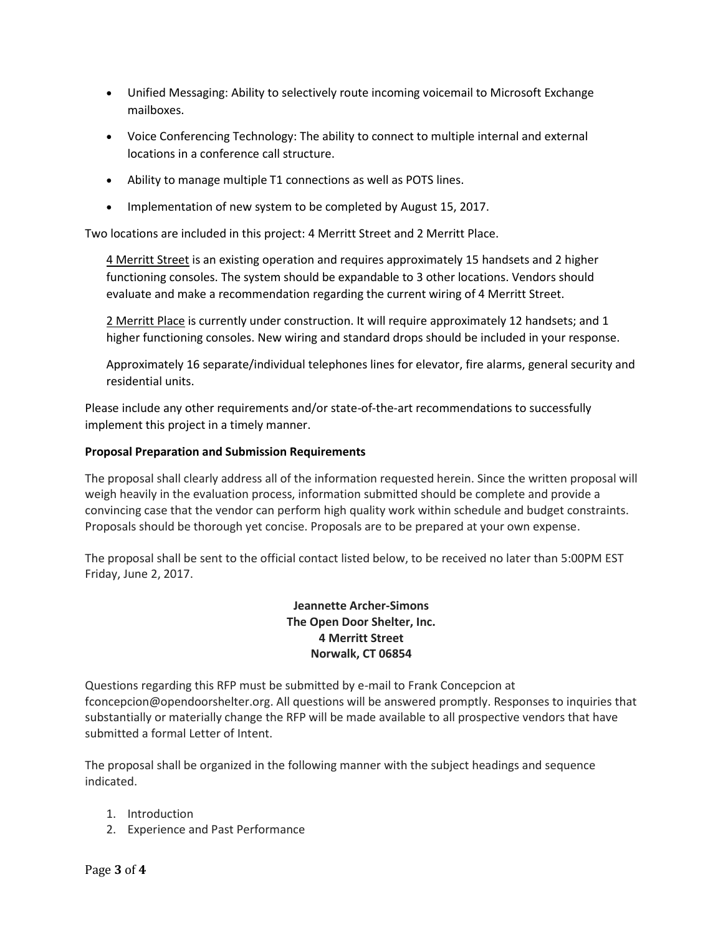- Unified Messaging: Ability to selectively route incoming voicemail to Microsoft Exchange mailboxes.
- Voice Conferencing Technology: The ability to connect to multiple internal and external locations in a conference call structure.
- Ability to manage multiple T1 connections as well as POTS lines.
- Implementation of new system to be completed by August 15, 2017.

Two locations are included in this project: 4 Merritt Street and 2 Merritt Place.

4 Merritt Street is an existing operation and requires approximately 15 handsets and 2 higher functioning consoles. The system should be expandable to 3 other locations. Vendors should evaluate and make a recommendation regarding the current wiring of 4 Merritt Street.

2 Merritt Place is currently under construction. It will require approximately 12 handsets; and 1 higher functioning consoles. New wiring and standard drops should be included in your response.

Approximately 16 separate/individual telephones lines for elevator, fire alarms, general security and residential units.

Please include any other requirements and/or state-of-the-art recommendations to successfully implement this project in a timely manner.

# **Proposal Preparation and Submission Requirements**

The proposal shall clearly address all of the information requested herein. Since the written proposal will weigh heavily in the evaluation process, information submitted should be complete and provide a convincing case that the vendor can perform high quality work within schedule and budget constraints. Proposals should be thorough yet concise. Proposals are to be prepared at your own expense.

The proposal shall be sent to the official contact listed below, to be received no later than 5:00PM EST Friday, June 2, 2017.

# **Jeannette Archer-Simons The Open Door Shelter, Inc. 4 Merritt Street Norwalk, CT 06854**

Questions regarding this RFP must be submitted by e-mail to Frank Concepcion at [fconcepcion@opendoorshelter.org.](mailto:fconcepcion@opendoorshelter.org) All questions will be answered promptly. Responses to inquiries that substantially or materially change the RFP will be made available to all prospective vendors that have submitted a formal Letter of Intent.

The proposal shall be organized in the following manner with the subject headings and sequence indicated.

- 1. Introduction
- 2. Experience and Past Performance